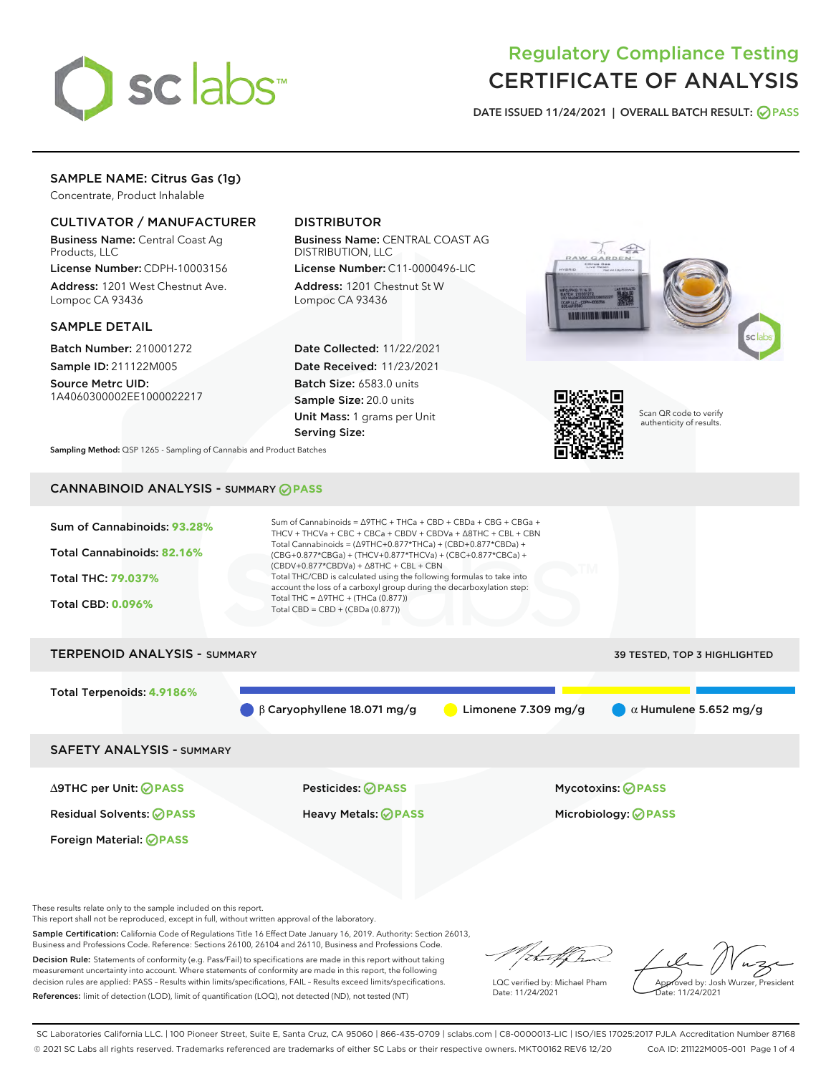

# Regulatory Compliance Testing CERTIFICATE OF ANALYSIS

DATE ISSUED 11/24/2021 | OVERALL BATCH RESULT: @ PASS

## SAMPLE NAME: Citrus Gas (1g)

Concentrate, Product Inhalable

## CULTIVATOR / MANUFACTURER

Business Name: Central Coast Ag Products, LLC

License Number: CDPH-10003156 Address: 1201 West Chestnut Ave. Lompoc CA 93436

#### SAMPLE DETAIL

Batch Number: 210001272 Sample ID: 211122M005

Source Metrc UID: 1A4060300002EE1000022217

## DISTRIBUTOR

Business Name: CENTRAL COAST AG DISTRIBUTION, LLC

License Number: C11-0000496-LIC Address: 1201 Chestnut St W Lompoc CA 93436

Date Collected: 11/22/2021 Date Received: 11/23/2021 Batch Size: 6583.0 units Sample Size: 20.0 units Unit Mass: 1 grams per Unit Serving Size:





Scan QR code to verify authenticity of results.

Sampling Method: QSP 1265 - Sampling of Cannabis and Product Batches

## CANNABINOID ANALYSIS - SUMMARY **PASS**



These results relate only to the sample included on this report.

This report shall not be reproduced, except in full, without written approval of the laboratory.

Sample Certification: California Code of Regulations Title 16 Effect Date January 16, 2019. Authority: Section 26013, Business and Professions Code. Reference: Sections 26100, 26104 and 26110, Business and Professions Code. Decision Rule: Statements of conformity (e.g. Pass/Fail) to specifications are made in this report without taking

measurement uncertainty into account. Where statements of conformity are made in this report, the following decision rules are applied: PASS – Results within limits/specifications, FAIL – Results exceed limits/specifications. References: limit of detection (LOD), limit of quantification (LOQ), not detected (ND), not tested (NT)

that f h

LQC verified by: Michael Pham Date: 11/24/2021

Approved by: Josh Wurzer, President ate: 11/24/2021

SC Laboratories California LLC. | 100 Pioneer Street, Suite E, Santa Cruz, CA 95060 | 866-435-0709 | sclabs.com | C8-0000013-LIC | ISO/IES 17025:2017 PJLA Accreditation Number 87168 © 2021 SC Labs all rights reserved. Trademarks referenced are trademarks of either SC Labs or their respective owners. MKT00162 REV6 12/20 CoA ID: 211122M005-001 Page 1 of 4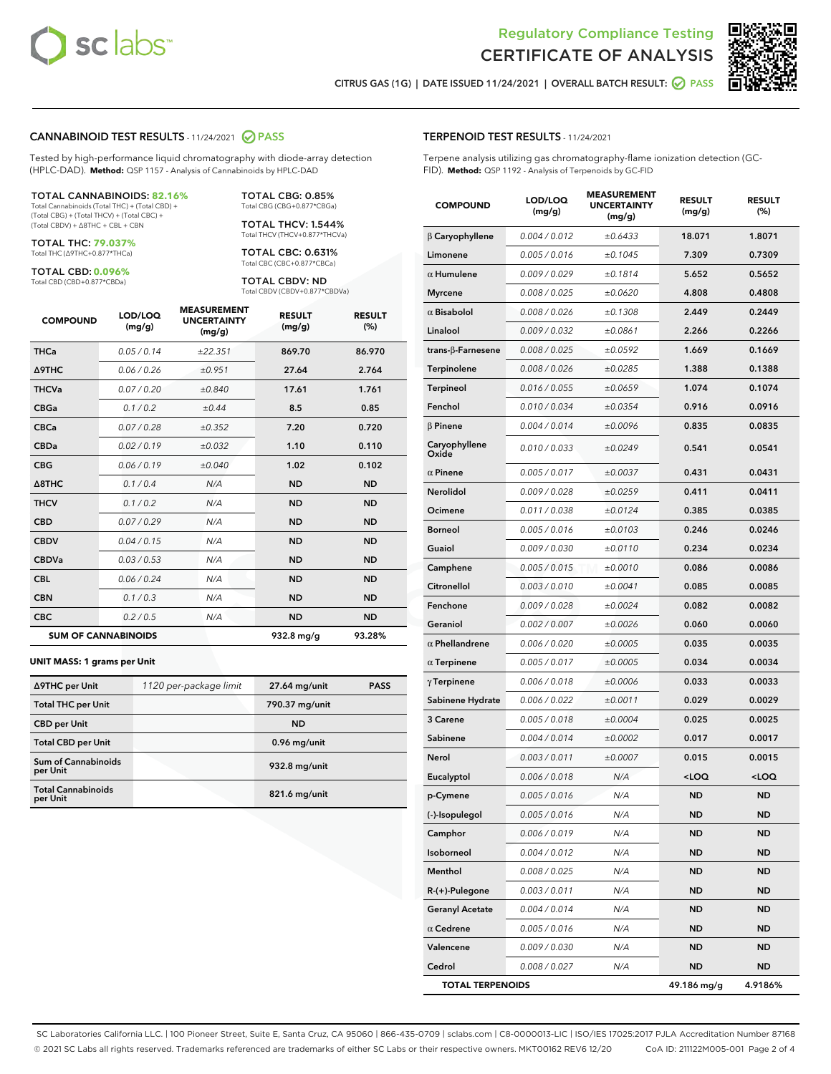



CITRUS GAS (1G) | DATE ISSUED 11/24/2021 | OVERALL BATCH RESULT:  $\bigcirc$  PASS

#### CANNABINOID TEST RESULTS - 11/24/2021 2 PASS

Tested by high-performance liquid chromatography with diode-array detection (HPLC-DAD). **Method:** QSP 1157 - Analysis of Cannabinoids by HPLC-DAD

#### TOTAL CANNABINOIDS: **82.16%**

Total Cannabinoids (Total THC) + (Total CBD) + (Total CBG) + (Total THCV) + (Total CBC) + (Total CBDV) + ∆8THC + CBL + CBN

TOTAL THC: **79.037%** Total THC (∆9THC+0.877\*THCa)

TOTAL CBD: **0.096%** Total CBD (CBD+0.877\*CBDa)

TOTAL CBG: 0.85% Total CBG (CBG+0.877\*CBGa)

TOTAL THCV: 1.544% Total THCV (THCV+0.877\*THCVa)

TOTAL CBC: 0.631% Total CBC (CBC+0.877\*CBCa)

TOTAL CBDV: ND Total CBDV (CBDV+0.877\*CBDVa)

| <b>COMPOUND</b>  | LOD/LOQ<br>(mg/g)          | <b>MEASUREMENT</b><br><b>UNCERTAINTY</b><br>(mg/g) | <b>RESULT</b><br>(mg/g) | <b>RESULT</b><br>(%) |
|------------------|----------------------------|----------------------------------------------------|-------------------------|----------------------|
| <b>THCa</b>      | 0.05/0.14                  | ±22.351                                            | 869.70                  | 86.970               |
| <b>A9THC</b>     | 0.06 / 0.26                | ±0.951                                             | 27.64                   | 2.764                |
| <b>THCVa</b>     | 0.07/0.20                  | ±0.840                                             | 17.61                   | 1.761                |
| <b>CBGa</b>      | 0.1/0.2                    | ±0.44                                              | 8.5                     | 0.85                 |
| <b>CBCa</b>      | 0.07 / 0.28                | ±0.352                                             | 7.20                    | 0.720                |
| <b>CBDa</b>      | 0.02/0.19                  | ±0.032                                             | 1.10                    | 0.110                |
| <b>CBG</b>       | 0.06/0.19                  | ±0.040                                             | 1.02                    | 0.102                |
| $\triangle$ 8THC | 0.1/0.4                    | N/A                                                | <b>ND</b>               | <b>ND</b>            |
| <b>THCV</b>      | 0.1/0.2                    | N/A                                                | <b>ND</b>               | <b>ND</b>            |
| <b>CBD</b>       | 0.07/0.29                  | N/A                                                | <b>ND</b>               | <b>ND</b>            |
| <b>CBDV</b>      | 0.04 / 0.15                | N/A                                                | <b>ND</b>               | <b>ND</b>            |
| <b>CBDVa</b>     | 0.03 / 0.53                | N/A                                                | <b>ND</b>               | <b>ND</b>            |
| <b>CBL</b>       | 0.06 / 0.24                | N/A                                                | <b>ND</b>               | <b>ND</b>            |
| <b>CBN</b>       | 0.1/0.3                    | N/A                                                | <b>ND</b>               | <b>ND</b>            |
| <b>CBC</b>       | 0.2 / 0.5                  | N/A                                                | <b>ND</b>               | <b>ND</b>            |
|                  | <b>SUM OF CANNABINOIDS</b> |                                                    | 932.8 mg/g              | 93.28%               |

#### **UNIT MASS: 1 grams per Unit**

| ∆9THC per Unit                         | 1120 per-package limit | 27.64 mg/unit   | <b>PASS</b> |
|----------------------------------------|------------------------|-----------------|-------------|
| <b>Total THC per Unit</b>              |                        | 790.37 mg/unit  |             |
| <b>CBD per Unit</b>                    |                        | <b>ND</b>       |             |
| <b>Total CBD per Unit</b>              |                        | 0.96 mg/unit    |             |
| <b>Sum of Cannabinoids</b><br>per Unit |                        | 932.8 mg/unit   |             |
| <b>Total Cannabinoids</b><br>per Unit  |                        | $821.6$ mg/unit |             |

#### TERPENOID TEST RESULTS - 11/24/2021

Terpene analysis utilizing gas chromatography-flame ionization detection (GC-FID). **Method:** QSP 1192 - Analysis of Terpenoids by GC-FID

| <b>COMPOUND</b>           | LOD/LOQ<br>(mg/g) | <b>MEASUREMENT</b><br><b>UNCERTAINTY</b><br>(mg/g) | <b>RESULT</b><br>(mg/g)                         | <b>RESULT</b><br>(%) |
|---------------------------|-------------------|----------------------------------------------------|-------------------------------------------------|----------------------|
| $\beta$ Caryophyllene     | 0.004 / 0.012     | ±0.6433                                            | 18.071                                          | 1.8071               |
| Limonene                  | 0.005 / 0.016     | ±0.1045                                            | 7.309                                           | 0.7309               |
| $\alpha$ Humulene         | 0.009/0.029       | ±0.1814                                            | 5.652                                           | 0.5652               |
| <b>Myrcene</b>            | 0.008 / 0.025     | ±0.0620                                            | 4.808                                           | 0.4808               |
| $\alpha$ Bisabolol        | 0.008 / 0.026     | ±0.1308                                            | 2.449                                           | 0.2449               |
| Linalool                  | 0.009 / 0.032     | ±0.0861                                            | 2.266                                           | 0.2266               |
| trans- $\beta$ -Farnesene | 0.008 / 0.025     | ±0.0592                                            | 1.669                                           | 0.1669               |
| Terpinolene               | 0.008 / 0.026     | ±0.0285                                            | 1.388                                           | 0.1388               |
| <b>Terpineol</b>          | 0.016 / 0.055     | ±0.0659                                            | 1.074                                           | 0.1074               |
| Fenchol                   | 0.010 / 0.034     | ±0.0354                                            | 0.916                                           | 0.0916               |
| β Pinene                  | 0.004 / 0.014     | ±0.0096                                            | 0.835                                           | 0.0835               |
| Caryophyllene<br>Oxide    | 0.010 / 0.033     | ±0.0249                                            | 0.541                                           | 0.0541               |
| $\alpha$ Pinene           | 0.005 / 0.017     | ±0.0037                                            | 0.431                                           | 0.0431               |
| <b>Nerolidol</b>          | 0.009 / 0.028     | ±0.0259                                            | 0.411                                           | 0.0411               |
| Ocimene                   | 0.011 / 0.038     | ±0.0124                                            | 0.385                                           | 0.0385               |
| <b>Borneol</b>            | 0.005 / 0.016     | ±0.0103                                            | 0.246                                           | 0.0246               |
| Guaiol                    | 0.009 / 0.030     | ±0.0110                                            | 0.234                                           | 0.0234               |
| Camphene                  | 0.005 / 0.015     | ±0.0010                                            | 0.086                                           | 0.0086               |
| Citronellol               | 0.003 / 0.010     | ±0.0041                                            | 0.085                                           | 0.0085               |
| Fenchone                  | 0.009 / 0.028     | ±0.0024                                            | 0.082                                           | 0.0082               |
| Geraniol                  | 0.002 / 0.007     | ±0.0026                                            | 0.060                                           | 0.0060               |
| $\alpha$ Phellandrene     | 0.006 / 0.020     | ±0.0005                                            | 0.035                                           | 0.0035               |
| $\alpha$ Terpinene        | 0.005 / 0.017     | ±0.0005                                            | 0.034                                           | 0.0034               |
| $\gamma$ Terpinene        | 0.006 / 0.018     | ±0.0006                                            | 0.033                                           | 0.0033               |
| Sabinene Hydrate          | 0.006 / 0.022     | ±0.0011                                            | 0.029                                           | 0.0029               |
| 3 Carene                  | 0.005 / 0.018     | ±0.0004                                            | 0.025                                           | 0.0025               |
| Sabinene                  | 0.004 / 0.014     | ±0.0002                                            | 0.017                                           | 0.0017               |
| Nerol                     | 0.003 / 0.011     | ±0.0007                                            | 0.015                                           | 0.0015               |
| Eucalyptol                | 0.006 / 0.018     | N/A                                                | <loq< th=""><th><loq< th=""></loq<></th></loq<> | <loq< th=""></loq<>  |
| p-Cymene                  | 0.005 / 0.016     | N/A                                                | <b>ND</b>                                       | <b>ND</b>            |
| (-)-Isopulegol            | 0.005 / 0.016     | N/A                                                | ND                                              | ND                   |
| Camphor                   | 0.006 / 0.019     | N/A                                                | ND                                              | ND                   |
| Isoborneol                | 0.004 / 0.012     | N/A                                                | <b>ND</b>                                       | ND                   |
| Menthol                   | 0.008 / 0.025     | N/A                                                | ND                                              | ND                   |
| R-(+)-Pulegone            | 0.003 / 0.011     | N/A                                                | ND                                              | ND                   |
| <b>Geranyl Acetate</b>    | 0.004 / 0.014     | N/A                                                | <b>ND</b>                                       | ND                   |
| $\alpha$ Cedrene          | 0.005 / 0.016     | N/A                                                | ND                                              | ND                   |
| Valencene                 | 0.009 / 0.030     | N/A                                                | ND                                              | ND                   |
| Cedrol                    | 0.008 / 0.027     | N/A                                                | <b>ND</b>                                       | <b>ND</b>            |
| <b>TOTAL TERPENOIDS</b>   |                   |                                                    | 49.186 mg/g                                     | 4.9186%              |

SC Laboratories California LLC. | 100 Pioneer Street, Suite E, Santa Cruz, CA 95060 | 866-435-0709 | sclabs.com | C8-0000013-LIC | ISO/IES 17025:2017 PJLA Accreditation Number 87168 © 2021 SC Labs all rights reserved. Trademarks referenced are trademarks of either SC Labs or their respective owners. MKT00162 REV6 12/20 CoA ID: 211122M005-001 Page 2 of 4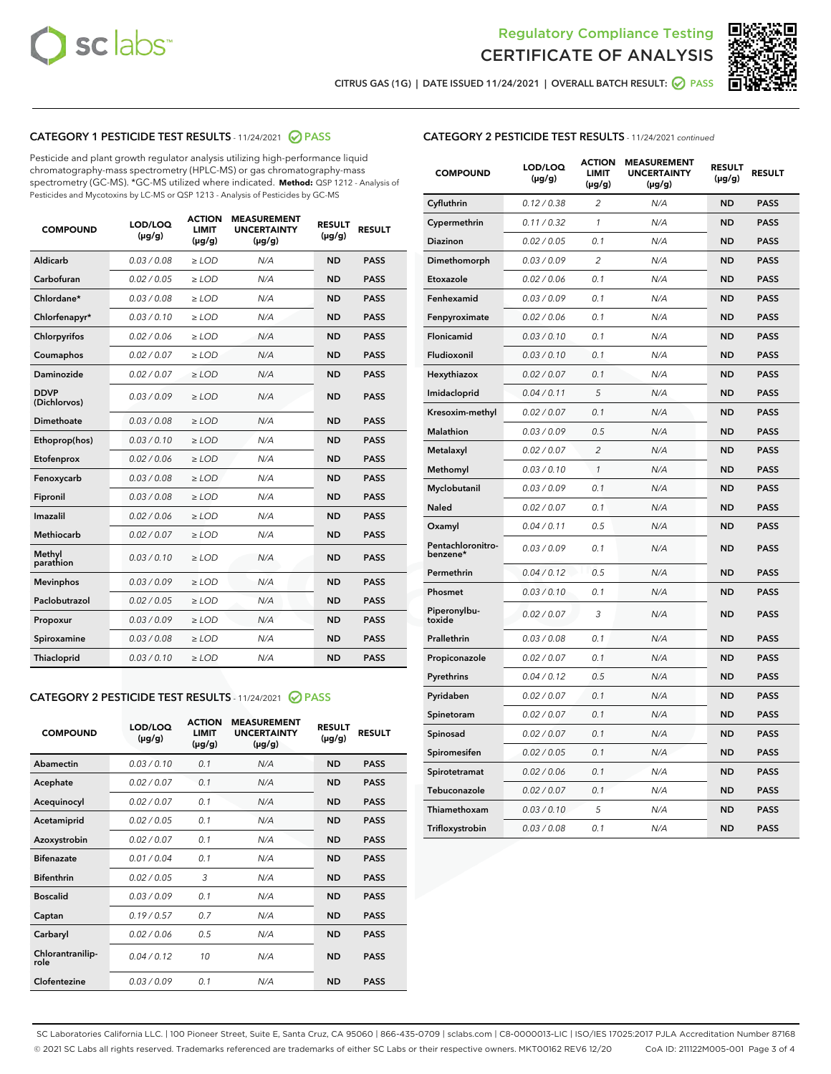



CITRUS GAS (1G) | DATE ISSUED 11/24/2021 | OVERALL BATCH RESULT:  $\bigcirc$  PASS

## CATEGORY 1 PESTICIDE TEST RESULTS - 11/24/2021 2 PASS

Pesticide and plant growth regulator analysis utilizing high-performance liquid chromatography-mass spectrometry (HPLC-MS) or gas chromatography-mass spectrometry (GC-MS). \*GC-MS utilized where indicated. **Method:** QSP 1212 - Analysis of Pesticides and Mycotoxins by LC-MS or QSP 1213 - Analysis of Pesticides by GC-MS

| <b>COMPOUND</b>             | LOD/LOQ<br>$(\mu g/g)$ | <b>ACTION</b><br><b>LIMIT</b><br>$(\mu g/g)$ | <b>MEASUREMENT</b><br><b>UNCERTAINTY</b><br>$(\mu g/g)$ | <b>RESULT</b><br>$(\mu g/g)$ | <b>RESULT</b> |
|-----------------------------|------------------------|----------------------------------------------|---------------------------------------------------------|------------------------------|---------------|
| Aldicarb                    | 0.03 / 0.08            | $\ge$ LOD                                    | N/A                                                     | <b>ND</b>                    | <b>PASS</b>   |
| Carbofuran                  | 0.02/0.05              | $>$ LOD                                      | N/A                                                     | <b>ND</b>                    | <b>PASS</b>   |
| Chlordane*                  | 0.03 / 0.08            | $\ge$ LOD                                    | N/A                                                     | <b>ND</b>                    | <b>PASS</b>   |
| Chlorfenapyr*               | 0.03/0.10              | $>$ LOD                                      | N/A                                                     | <b>ND</b>                    | <b>PASS</b>   |
| Chlorpyrifos                | 0.02 / 0.06            | $\ge$ LOD                                    | N/A                                                     | <b>ND</b>                    | <b>PASS</b>   |
| Coumaphos                   | 0.02 / 0.07            | $\ge$ LOD                                    | N/A                                                     | <b>ND</b>                    | <b>PASS</b>   |
| Daminozide                  | 0.02 / 0.07            | $\ge$ LOD                                    | N/A                                                     | <b>ND</b>                    | <b>PASS</b>   |
| <b>DDVP</b><br>(Dichlorvos) | 0.03/0.09              | $\ge$ LOD                                    | N/A                                                     | <b>ND</b>                    | <b>PASS</b>   |
| Dimethoate                  | 0.03/0.08              | $>$ LOD                                      | N/A                                                     | <b>ND</b>                    | <b>PASS</b>   |
| Ethoprop(hos)               | 0.03/0.10              | $\ge$ LOD                                    | N/A                                                     | <b>ND</b>                    | <b>PASS</b>   |
| Etofenprox                  | 0.02 / 0.06            | $\ge$ LOD                                    | N/A                                                     | <b>ND</b>                    | <b>PASS</b>   |
| Fenoxycarb                  | 0.03 / 0.08            | $\ge$ LOD                                    | N/A                                                     | <b>ND</b>                    | <b>PASS</b>   |
| Fipronil                    | 0.03/0.08              | $>$ LOD                                      | N/A                                                     | <b>ND</b>                    | <b>PASS</b>   |
| Imazalil                    | 0.02 / 0.06            | $\ge$ LOD                                    | N/A                                                     | <b>ND</b>                    | <b>PASS</b>   |
| <b>Methiocarb</b>           | 0.02 / 0.07            | $\ge$ LOD                                    | N/A                                                     | <b>ND</b>                    | <b>PASS</b>   |
| Methyl<br>parathion         | 0.03/0.10              | $\ge$ LOD                                    | N/A                                                     | <b>ND</b>                    | <b>PASS</b>   |
| <b>Mevinphos</b>            | 0.03/0.09              | $>$ LOD                                      | N/A                                                     | <b>ND</b>                    | <b>PASS</b>   |
| Paclobutrazol               | 0.02 / 0.05            | $\ge$ LOD                                    | N/A                                                     | <b>ND</b>                    | <b>PASS</b>   |
| Propoxur                    | 0.03/0.09              | $\ge$ LOD                                    | N/A                                                     | <b>ND</b>                    | <b>PASS</b>   |
| Spiroxamine                 | 0.03 / 0.08            | $\ge$ LOD                                    | N/A                                                     | <b>ND</b>                    | <b>PASS</b>   |
| Thiacloprid                 | 0.03/0.10              | $\ge$ LOD                                    | N/A                                                     | <b>ND</b>                    | <b>PASS</b>   |

#### CATEGORY 2 PESTICIDE TEST RESULTS - 11/24/2021 @ PASS

| <b>COMPOUND</b>          | LOD/LOO<br>$(\mu g/g)$ | <b>ACTION</b><br>LIMIT<br>$(\mu g/g)$ | <b>MEASUREMENT</b><br><b>UNCERTAINTY</b><br>$(\mu g/g)$ | <b>RESULT</b><br>$(\mu g/g)$ | <b>RESULT</b> |  |
|--------------------------|------------------------|---------------------------------------|---------------------------------------------------------|------------------------------|---------------|--|
| Abamectin                | 0.03/0.10              | 0.1                                   | N/A                                                     | <b>ND</b>                    | <b>PASS</b>   |  |
| Acephate                 | 0.02/0.07              | 0.1                                   | N/A                                                     | <b>ND</b>                    | <b>PASS</b>   |  |
| Acequinocyl              | 0.02/0.07              | 0.1                                   | N/A                                                     | <b>ND</b>                    | <b>PASS</b>   |  |
| Acetamiprid              | 0.02 / 0.05            | 0.1                                   | N/A                                                     | <b>ND</b>                    | <b>PASS</b>   |  |
| Azoxystrobin             | 0.02/0.07              | 0.1                                   | N/A                                                     | <b>ND</b>                    | <b>PASS</b>   |  |
| <b>Bifenazate</b>        | 0.01 / 0.04            | 0.1                                   | N/A                                                     | <b>ND</b>                    | <b>PASS</b>   |  |
| <b>Bifenthrin</b>        | 0.02 / 0.05            | 3                                     | N/A                                                     | <b>ND</b>                    | <b>PASS</b>   |  |
| <b>Boscalid</b>          | 0.03/0.09              | 0.1                                   | N/A                                                     | <b>ND</b>                    | <b>PASS</b>   |  |
| Captan                   | 0.19/0.57              | 0.7                                   | N/A                                                     | <b>ND</b>                    | <b>PASS</b>   |  |
| Carbaryl                 | 0.02/0.06              | 0.5                                   | N/A                                                     | <b>ND</b>                    | <b>PASS</b>   |  |
| Chlorantranilip-<br>role | 0.04/0.12              | 10                                    | N/A                                                     | <b>ND</b>                    | <b>PASS</b>   |  |
| Clofentezine             | 0.03/0.09              | 0.1                                   | N/A                                                     | <b>ND</b>                    | <b>PASS</b>   |  |

## CATEGORY 2 PESTICIDE TEST RESULTS - 11/24/2021 continued

| <b>COMPOUND</b>               | LOD/LOQ<br>(µg/g) | <b>ACTION</b><br><b>LIMIT</b><br>$(\mu g/g)$ | <b>MEASUREMENT</b><br><b>UNCERTAINTY</b><br>$(\mu g/g)$ | <b>RESULT</b><br>(µg/g) | <b>RESULT</b> |
|-------------------------------|-------------------|----------------------------------------------|---------------------------------------------------------|-------------------------|---------------|
| Cyfluthrin                    | 0.12 / 0.38       | $\overline{c}$                               | N/A                                                     | ND                      | <b>PASS</b>   |
| Cypermethrin                  | 0.11 / 0.32       | $\mathcal{I}$                                | N/A                                                     | ND                      | <b>PASS</b>   |
| <b>Diazinon</b>               | 0.02 / 0.05       | 0.1                                          | N/A                                                     | <b>ND</b>               | <b>PASS</b>   |
| Dimethomorph                  | 0.03 / 0.09       | 2                                            | N/A                                                     | ND                      | <b>PASS</b>   |
| Etoxazole                     | 0.02 / 0.06       | 0.1                                          | N/A                                                     | ND                      | <b>PASS</b>   |
| Fenhexamid                    | 0.03 / 0.09       | 0.1                                          | N/A                                                     | ND                      | <b>PASS</b>   |
| Fenpyroximate                 | 0.02 / 0.06       | 0.1                                          | N/A                                                     | <b>ND</b>               | <b>PASS</b>   |
| Flonicamid                    | 0.03 / 0.10       | 0.1                                          | N/A                                                     | ND                      | <b>PASS</b>   |
| Fludioxonil                   | 0.03 / 0.10       | 0.1                                          | N/A                                                     | ND                      | <b>PASS</b>   |
| Hexythiazox                   | 0.02 / 0.07       | 0.1                                          | N/A                                                     | ND                      | <b>PASS</b>   |
| Imidacloprid                  | 0.04 / 0.11       | 5                                            | N/A                                                     | ND                      | <b>PASS</b>   |
| Kresoxim-methyl               | 0.02 / 0.07       | 0.1                                          | N/A                                                     | ND                      | <b>PASS</b>   |
| Malathion                     | 0.03 / 0.09       | 0.5                                          | N/A                                                     | ND                      | <b>PASS</b>   |
| Metalaxyl                     | 0.02 / 0.07       | $\overline{c}$                               | N/A                                                     | ND                      | <b>PASS</b>   |
| Methomyl                      | 0.03 / 0.10       | $\mathbf{1}$                                 | N/A                                                     | ND                      | <b>PASS</b>   |
| Myclobutanil                  | 0.03 / 0.09       | 0.1                                          | N/A                                                     | <b>ND</b>               | <b>PASS</b>   |
| Naled                         | 0.02 / 0.07       | 0.1                                          | N/A                                                     | ND                      | <b>PASS</b>   |
| Oxamyl                        | 0.04 / 0.11       | 0.5                                          | N/A                                                     | ND                      | PASS          |
| Pentachloronitro-<br>benzene* | 0.03 / 0.09       | 0.1                                          | N/A                                                     | ND                      | <b>PASS</b>   |
| Permethrin                    | 0.04 / 0.12       | 0.5                                          | N/A                                                     | ND                      | <b>PASS</b>   |
| Phosmet                       | 0.03 / 0.10       | 0.1                                          | N/A                                                     | ND                      | <b>PASS</b>   |
| Piperonylbu-<br>toxide        | 0.02 / 0.07       | 3                                            | N/A                                                     | <b>ND</b>               | <b>PASS</b>   |
| Prallethrin                   | 0.03 / 0.08       | 0.1                                          | N/A                                                     | ND                      | <b>PASS</b>   |
| Propiconazole                 | 0.02 / 0.07       | 0.1                                          | N/A                                                     | <b>ND</b>               | <b>PASS</b>   |
| Pyrethrins                    | 0.04 / 0.12       | 0.5                                          | N/A                                                     | ND                      | PASS          |
| Pyridaben                     | 0.02 / 0.07       | 0.1                                          | N/A                                                     | <b>ND</b>               | <b>PASS</b>   |
| Spinetoram                    | 0.02 / 0.07       | 0.1                                          | N/A                                                     | ND                      | <b>PASS</b>   |
| Spinosad                      | 0.02 / 0.07       | 0.1                                          | N/A                                                     | ND                      | PASS          |
| Spiromesifen                  | 0.02 / 0.05       | 0.1                                          | N/A                                                     | <b>ND</b>               | <b>PASS</b>   |
| Spirotetramat                 | 0.02 / 0.06       | 0.1                                          | N/A                                                     | ND                      | <b>PASS</b>   |
| Tebuconazole                  | 0.02 / 0.07       | 0.1                                          | N/A                                                     | ND                      | <b>PASS</b>   |
| Thiamethoxam                  | 0.03 / 0.10       | 5                                            | N/A                                                     | <b>ND</b>               | <b>PASS</b>   |
| Trifloxystrobin               | 0.03 / 0.08       | 0.1                                          | N/A                                                     | <b>ND</b>               | <b>PASS</b>   |

SC Laboratories California LLC. | 100 Pioneer Street, Suite E, Santa Cruz, CA 95060 | 866-435-0709 | sclabs.com | C8-0000013-LIC | ISO/IES 17025:2017 PJLA Accreditation Number 87168 © 2021 SC Labs all rights reserved. Trademarks referenced are trademarks of either SC Labs or their respective owners. MKT00162 REV6 12/20 CoA ID: 211122M005-001 Page 3 of 4